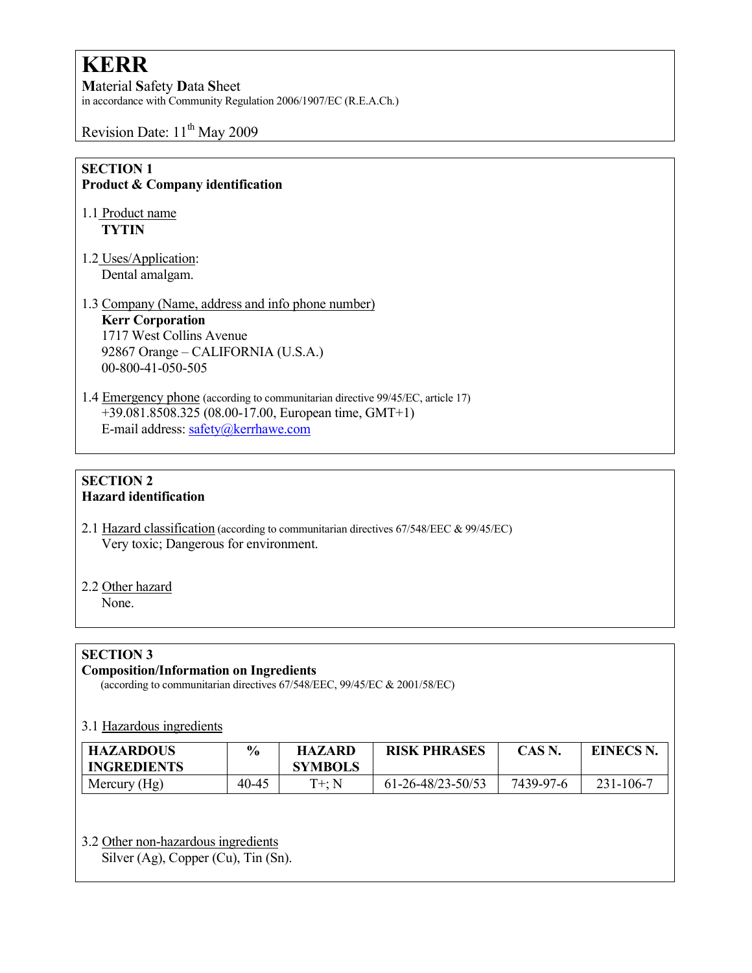# **KERR**

Material Safety Data Sheet in accordance with Community Regulation 2006/1907/EC (R.E.A.Ch.)

Revision Date:  $11<sup>th</sup>$  May 2009

#### SECTION 1 Product & Company identification

- 1.1 Product name **TYTIN**
- 1.2 Uses/Application: Dental amalgam.

## 1.3 Company (Name, address and info phone number) Kerr Corporation 1717 West Collins Avenue 92867 Orange – CALIFORNIA (U.S.A.) 00-800-41-050-505

1.4 Emergency phone (according to communitarian directive 99/45/EC, article 17) +39.081.8508.325 (08.00-17.00, European time, GMT+1) E-mail address: safety@kerrhawe.com

## SECTION 2 Hazard identification

2.1 Hazard classification (according to communitarian directives 67/548/EEC & 99/45/EC) Very toxic; Dangerous for environment.

# 2.2 Other hazard

None.

# SECTION 3

#### Composition/Information on Ingredients

(according to communitarian directives 67/548/EEC, 99/45/EC & 2001/58/EC)

#### 3.1 Hazardous ingredients

| <b>HAZARDOUS</b><br><b>INGREDIENTS</b> | $\frac{6}{9}$ | <b>HAZARD</b><br><b>SYMBOLS</b> | <b>RISK PHRASES</b> | CAS N.    | <b>EINECS N.</b> |
|----------------------------------------|---------------|---------------------------------|---------------------|-----------|------------------|
| Mercury $(Hg)$                         | 40-45         | $T+:N$                          | 61-26-48/23-50/53   | 7439-97-6 | 231-106-7        |

# 3.2 Other non-hazardous ingredients

Silver (Ag), Copper (Cu), Tin (Sn).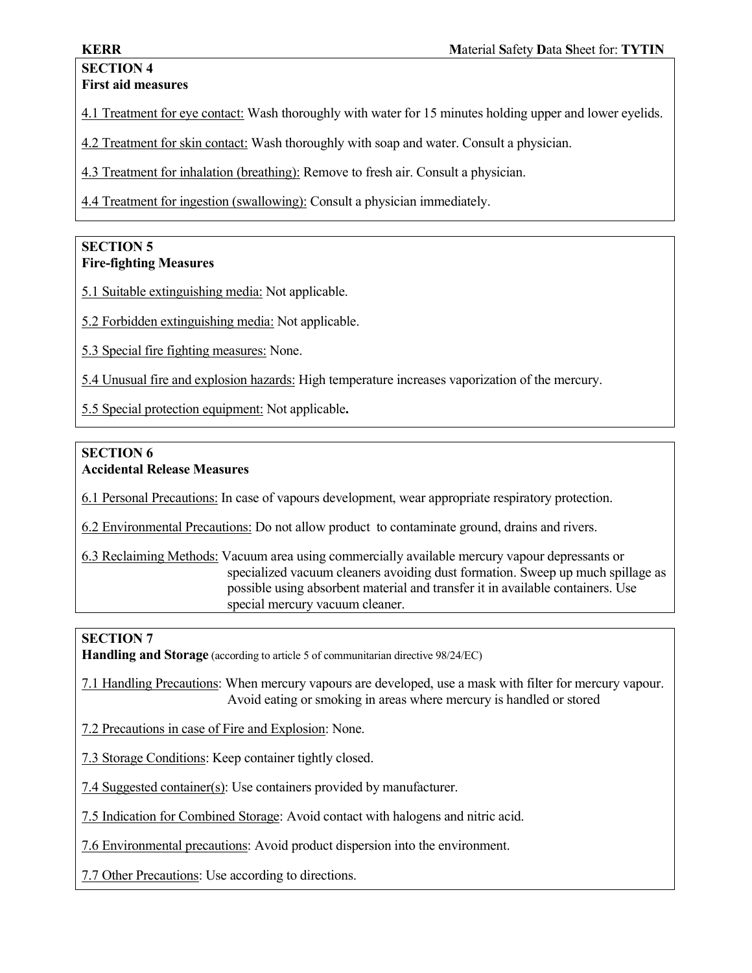# SECTION 4 First aid measures

4.1 Treatment for eye contact: Wash thoroughly with water for 15 minutes holding upper and lower eyelids.

4.2 Treatment for skin contact: Wash thoroughly with soap and water. Consult a physician.

4.3 Treatment for inhalation (breathing): Remove to fresh air. Consult a physician.

4.4 Treatment for ingestion (swallowing): Consult a physician immediately.

# SECTION 5 Fire-fighting Measures

5.1 Suitable extinguishing media: Not applicable.

5.2 Forbidden extinguishing media: Not applicable.

5.3 Special fire fighting measures: None.

5.4 Unusual fire and explosion hazards: High temperature increases vaporization of the mercury.

5.5 Special protection equipment: Not applicable.

# SECTION 6 Accidental Release Measures

6.1 Personal Precautions: In case of vapours development, wear appropriate respiratory protection.

6.2 Environmental Precautions: Do not allow product to contaminate ground, drains and rivers.

6.3 Reclaiming Methods: Vacuum area using commercially available mercury vapour depressants or specialized vacuum cleaners avoiding dust formation. Sweep up much spillage as possible using absorbent material and transfer it in available containers. Use special mercury vacuum cleaner.

# SECTION 7

Handling and Storage (according to article 5 of communitarian directive 98/24/EC)

7.1 Handling Precautions: When mercury vapours are developed, use a mask with filter for mercury vapour. Avoid eating or smoking in areas where mercury is handled or stored

7.2 Precautions in case of Fire and Explosion: None.

7.3 Storage Conditions: Keep container tightly closed.

7.4 Suggested container(s): Use containers provided by manufacturer.

7.5 Indication for Combined Storage: Avoid contact with halogens and nitric acid.

7.6 Environmental precautions: Avoid product dispersion into the environment.

7.7 Other Precautions: Use according to directions.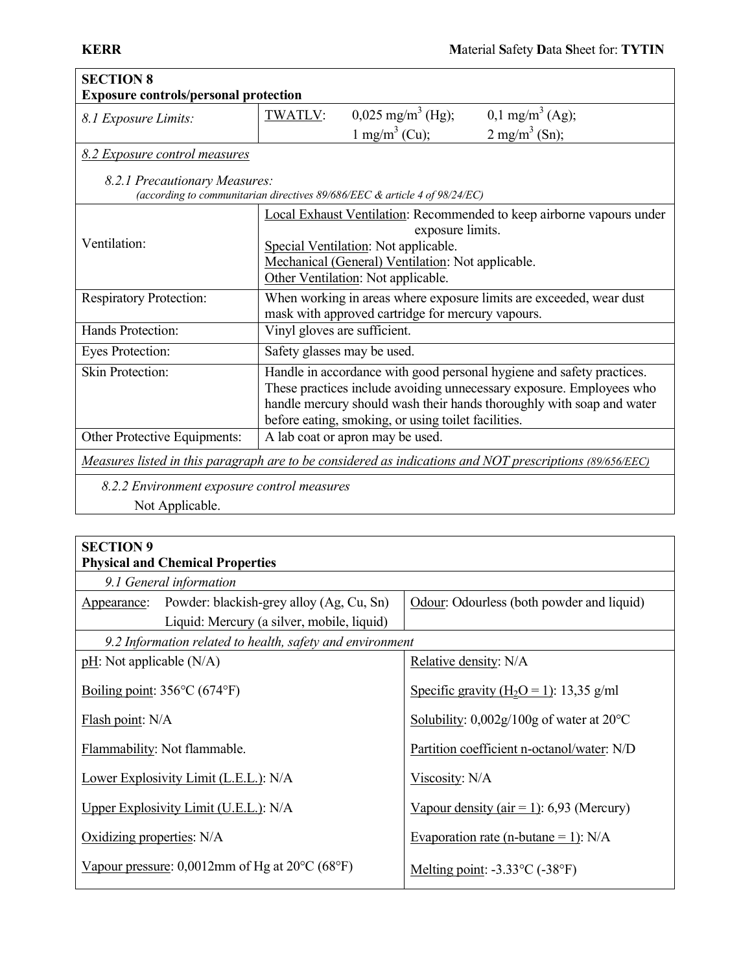| <b>SECTION 8</b>                                                                                            |                                                                                                                                                                                                                              |                                                     |                                                                                                                                                                                                                        |
|-------------------------------------------------------------------------------------------------------------|------------------------------------------------------------------------------------------------------------------------------------------------------------------------------------------------------------------------------|-----------------------------------------------------|------------------------------------------------------------------------------------------------------------------------------------------------------------------------------------------------------------------------|
| <b>Exposure controls/personal protection</b>                                                                |                                                                                                                                                                                                                              |                                                     |                                                                                                                                                                                                                        |
| 8.1 Exposure Limits:                                                                                        | <b>TWATLV:</b>                                                                                                                                                                                                               | $0,025 \text{ mg/m}^3$ (Hg);                        | $0,1$ mg/m <sup>3</sup> (Ag);                                                                                                                                                                                          |
|                                                                                                             |                                                                                                                                                                                                                              | 1 mg/m <sup>3</sup> (Cu);                           | $2 \text{ mg/m}^3$ (Sn);                                                                                                                                                                                               |
| 8.2 Exposure control measures                                                                               |                                                                                                                                                                                                                              |                                                     |                                                                                                                                                                                                                        |
| 8.2.1 Precautionary Measures:<br>(according to communitarian directives 89/686/EEC & article 4 of 98/24/EC) |                                                                                                                                                                                                                              |                                                     |                                                                                                                                                                                                                        |
| Ventilation:                                                                                                | Local Exhaust Ventilation: Recommended to keep airborne vapours under<br>exposure limits.<br>Special Ventilation: Not applicable.<br>Mechanical (General) Ventilation: Not applicable.<br>Other Ventilation: Not applicable. |                                                     |                                                                                                                                                                                                                        |
| <b>Respiratory Protection:</b>                                                                              | When working in areas where exposure limits are exceeded, wear dust<br>mask with approved cartridge for mercury vapours.                                                                                                     |                                                     |                                                                                                                                                                                                                        |
| Hands Protection:                                                                                           | Vinyl gloves are sufficient.                                                                                                                                                                                                 |                                                     |                                                                                                                                                                                                                        |
| Eyes Protection:                                                                                            | Safety glasses may be used.                                                                                                                                                                                                  |                                                     |                                                                                                                                                                                                                        |
| Skin Protection:                                                                                            |                                                                                                                                                                                                                              | before eating, smoking, or using toilet facilities. | Handle in accordance with good personal hygiene and safety practices.<br>These practices include avoiding unnecessary exposure. Employees who<br>handle mercury should wash their hands thoroughly with soap and water |
| Other Protective Equipments:                                                                                |                                                                                                                                                                                                                              | A lab coat or apron may be used.                    |                                                                                                                                                                                                                        |
| Measures listed in this paragraph are to be considered as indications and NOT prescriptions (89/656/EEC)    |                                                                                                                                                                                                                              |                                                     |                                                                                                                                                                                                                        |
| 8.2.2 Environment exposure control measures<br>Not Applicable.                                              |                                                                                                                                                                                                                              |                                                     |                                                                                                                                                                                                                        |

| <b>SECTION 9</b>                                            |                                                       |  |
|-------------------------------------------------------------|-------------------------------------------------------|--|
| <b>Physical and Chemical Properties</b>                     |                                                       |  |
| 9.1 General information                                     |                                                       |  |
| Appearance: Powder: blackish-grey alloy (Ag, Cu, Sn)        | Odour: Odourless (both powder and liquid)             |  |
| Liquid: Mercury (a silver, mobile, liquid)                  |                                                       |  |
| 9.2 Information related to health, safety and environment   |                                                       |  |
| $pH$ : Not applicable (N/A)                                 | Relative density: N/A                                 |  |
| Boiling point: $356^{\circ}$ C (674 $^{\circ}$ F)           | Specific gravity $(H_2O = 1)$ : 13,35 g/ml            |  |
| Flash point: N/A                                            | Solubility: $0.002g/100g$ of water at 20 $^{\circ}$ C |  |
| Flammability: Not flammable.                                | Partition coefficient n-octanol/water: N/D            |  |
| Lower Explosivity Limit (L.E.L.): N/A                       | Viscosity: N/A                                        |  |
| Upper Explosivity Limit (U.E.L.): N/A                       | Vapour density (air = 1): 6,93 (Mercury)              |  |
| Oxidizing properties: N/A                                   | Evaporation rate (n-butane = 1): $N/A$                |  |
| Vapour pressure: $0,0012$ mm of Hg at $20^{\circ}$ C (68°F) | Melting point: $-3.33^{\circ}$ C ( $-38^{\circ}$ F)   |  |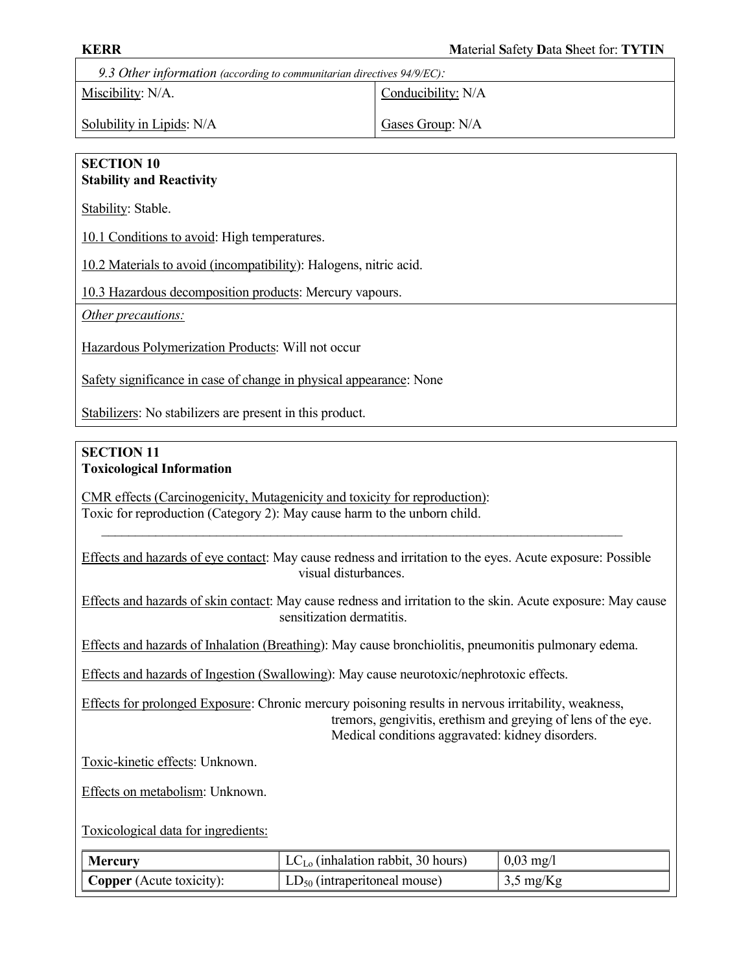9.3 Other information (according to communitarian directives 94/9/EC):

Miscibility: N/A.

Conducibility: N/A

Solubility in Lipids: N/A

Gases Group: N/A

#### SECTION 10 Stability and Reactivity

Stability: Stable.

10.1 Conditions to avoid: High temperatures.

10.2 Materials to avoid (incompatibility): Halogens, nitric acid.

10.3 Hazardous decomposition products: Mercury vapours.

Other precautions:

Hazardous Polymerization Products: Will not occur

Safety significance in case of change in physical appearance: None

Stabilizers: No stabilizers are present in this product.

#### SECTION 11 Toxicological Information

CMR effects (Carcinogenicity, Mutagenicity and toxicity for reproduction): Toxic for reproduction (Category 2): May cause harm to the unborn child.

Effects and hazards of eye contact: May cause redness and irritation to the eyes. Acute exposure: Possible visual disturbances.

 $\mathcal{L}_\text{max}$  , and the contribution of the contribution of the contribution of the contribution of the contribution of the contribution of the contribution of the contribution of the contribution of the contribution of t

Effects and hazards of skin contact: May cause redness and irritation to the skin. Acute exposure: May cause sensitization dermatitis.

Effects and hazards of Inhalation (Breathing): May cause bronchiolitis, pneumonitis pulmonary edema.

Effects and hazards of Ingestion (Swallowing): May cause neurotoxic/nephrotoxic effects.

Effects for prolonged Exposure: Chronic mercury poisoning results in nervous irritability, weakness, tremors, gengivitis, erethism and greying of lens of the eye. Medical conditions aggravated: kidney disorders.

Toxic-kinetic effects: Unknown.

Effects on metabolism: Unknown.

Toxicological data for ingredients:

| <b>Mercury</b>           | $LC_{Lo}$ (inhalation rabbit, 30 hours) | $0.03 \text{ mg}/1$ |
|--------------------------|-----------------------------------------|---------------------|
| Copper (Acute toxicity): | $LD_{50}$ (intraperitoneal mouse)       | $3,5 \text{ mg/Kg}$ |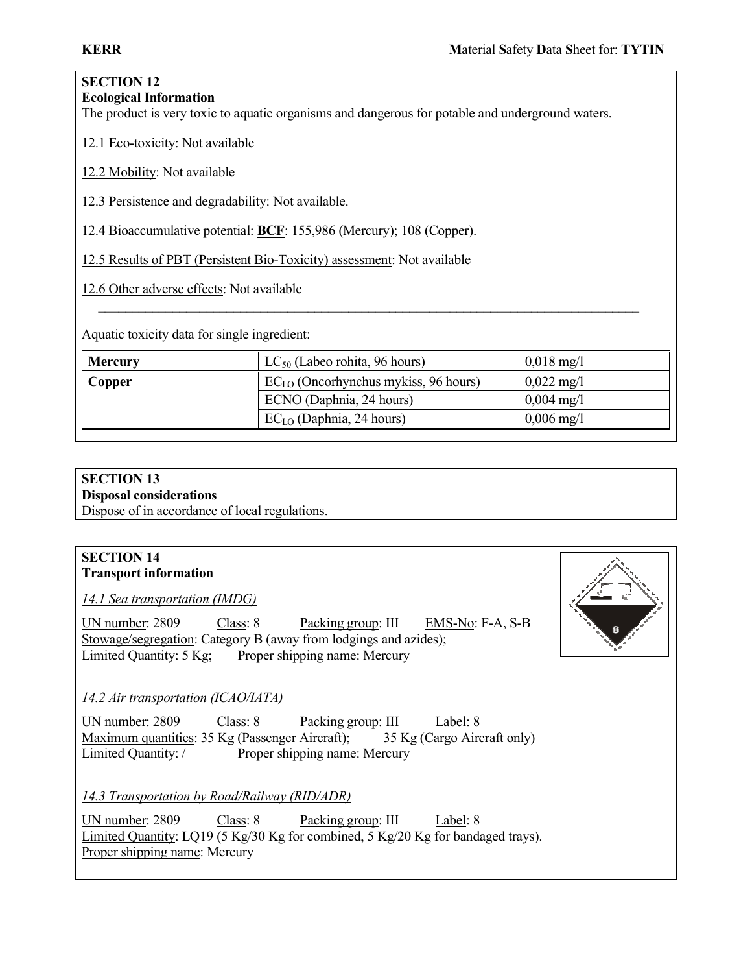#### SECTION 12 Ecological Information

The product is very toxic to aquatic organisms and dangerous for potable and underground waters.

12.1 Eco-toxicity: Not available

12.2 Mobility: Not available

12.3 Persistence and degradability: Not available.

12.4 Bioaccumulative potential: BCF: 155,986 (Mercury); 108 (Copper).

12.5 Results of PBT (Persistent Bio-Toxicity) assessment: Not available

12.6 Other adverse effects: Not available

Aquatic toxicity data for single ingredient:

| <b>Mercury</b> | $LC_{50}$ (Labeo rohita, 96 hours)        | $0,018 \text{ mg}/1$ |
|----------------|-------------------------------------------|----------------------|
| Copper         | $EC_{LO}$ (Oncorhynchus mykiss, 96 hours) | $0,022 \text{ mg}/1$ |
|                | ECNO (Daphnia, 24 hours)                  | $0,004 \text{ mg}/1$ |
|                | $EC_{LO}$ (Daphnia, 24 hours)             | $0,006 \text{ mg}/1$ |

\_\_\_\_\_\_\_\_\_\_\_\_\_\_\_\_\_\_\_\_\_\_\_\_\_\_\_\_\_\_\_\_\_\_\_\_\_\_\_\_\_\_\_\_\_\_\_\_\_\_\_\_\_\_\_\_\_\_\_\_\_\_\_\_\_\_\_\_\_\_\_\_\_\_\_\_\_\_\_\_

# SECTION 13

# Disposal considerations

Dispose of in accordance of local regulations.

## SECTION 14 Transport information

14.1 Sea transportation (IMDG)

UN number: 2809 Class: 8 Packing group: III EMS-No: F-A, S-B Stowage/segregation: Category B (away from lodgings and azides); Limited Quantity: 5 Kg; Proper shipping name: Mercury



# 14.2 Air transportation (ICAO/IATA)

UN number: 2809 Class: 8 Packing group: III Label: 8 Maximum quantities: 35 Kg (Passenger Aircraft); 35 Kg (Cargo Aircraft only) Limited Quantity: / Proper shipping name: Mercury

14.3 Transportation by Road/Railway (RID/ADR)

UN number: 2809 Class: 8 Packing group: III Label: 8 Limited Quantity: LQ19 (5 Kg/30 Kg for combined, 5 Kg/20 Kg for bandaged trays). Proper shipping name: Mercury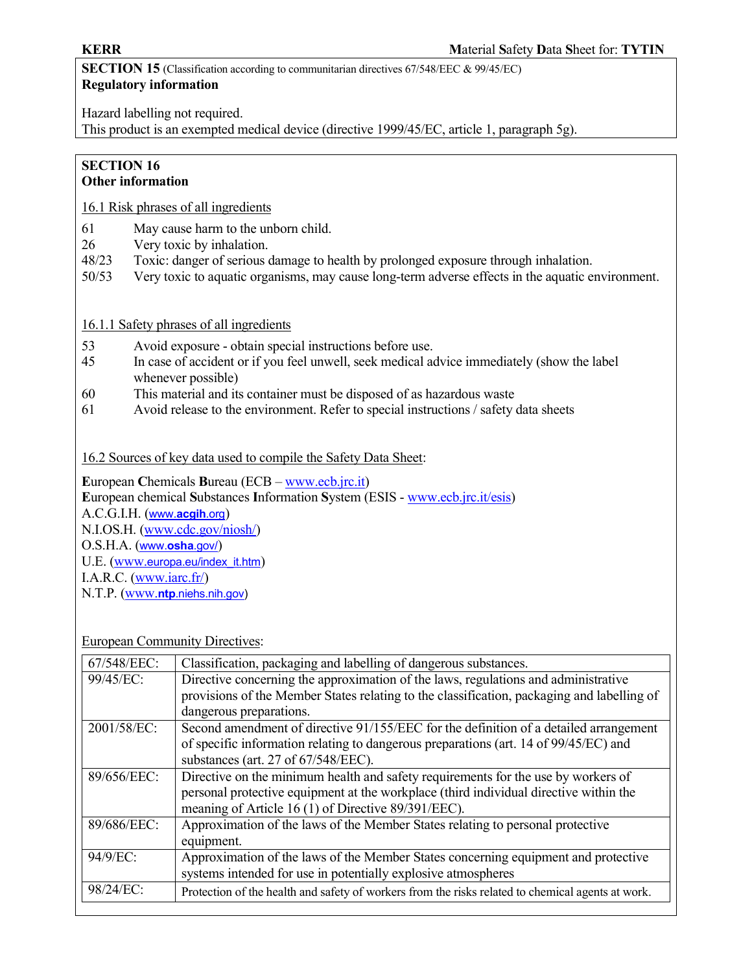SECTION 15 (Classification according to communitarian directives 67/548/EEC & 99/45/EC) Regulatory information

Hazard labelling not required.

This product is an exempted medical device (directive 1999/45/EC, article 1, paragraph 5g).

# SECTION 16

# Other information

16.1 Risk phrases of all ingredients

- 61 May cause harm to the unborn child.
- 26 Very toxic by inhalation.
- 48/23 Toxic: danger of serious damage to health by prolonged exposure through inhalation.
- 50/53 Very toxic to aquatic organisms, may cause long-term adverse effects in the aquatic environment.

# 16.1.1 Safety phrases of all ingredients

- 53 Avoid exposure obtain special instructions before use.
- 45 In case of accident or if you feel unwell, seek medical advice immediately (show the label whenever possible)
- 60 This material and its container must be disposed of as hazardous waste
- 61 Avoid release to the environment. Refer to special instructions / safety data sheets

16.2 Sources of key data used to compile the Safety Data Sheet:

European Chemicals Bureau (ECB – www.ecb.jrc.it) European chemical Substances Information System (ESIS - www.ecb.jrc.it/esis) A.C.G.I.H. (www.acgih.org) N.I.OS.H. (www.cdc.gov/niosh/) O.S.H.A. (www.osha.gov/) U.E. (www.europa.eu/index\_it.htm) I.A.R.C. (www.iarc.fr/) N.T.P. (www.ntp.niehs.nih.gov)

#### European Community Directives:

| 67/548/EEC: | Classification, packaging and labelling of dangerous substances.                                  |
|-------------|---------------------------------------------------------------------------------------------------|
| 99/45/EC:   | Directive concerning the approximation of the laws, regulations and administrative                |
|             | provisions of the Member States relating to the classification, packaging and labelling of        |
|             | dangerous preparations.                                                                           |
| 2001/58/EC: | Second amendment of directive 91/155/EEC for the definition of a detailed arrangement             |
|             | of specific information relating to dangerous preparations (art. 14 of 99/45/EC) and              |
|             | substances (art. 27 of 67/548/EEC).                                                               |
| 89/656/EEC: | Directive on the minimum health and safety requirements for the use by workers of                 |
|             | personal protective equipment at the workplace (third individual directive within the             |
|             | meaning of Article 16 (1) of Directive 89/391/EEC).                                               |
| 89/686/EEC: | Approximation of the laws of the Member States relating to personal protective                    |
|             | equipment.                                                                                        |
| 94/9/EC:    | Approximation of the laws of the Member States concerning equipment and protective                |
|             | systems intended for use in potentially explosive atmospheres                                     |
| 98/24/EC:   | Protection of the health and safety of workers from the risks related to chemical agents at work. |